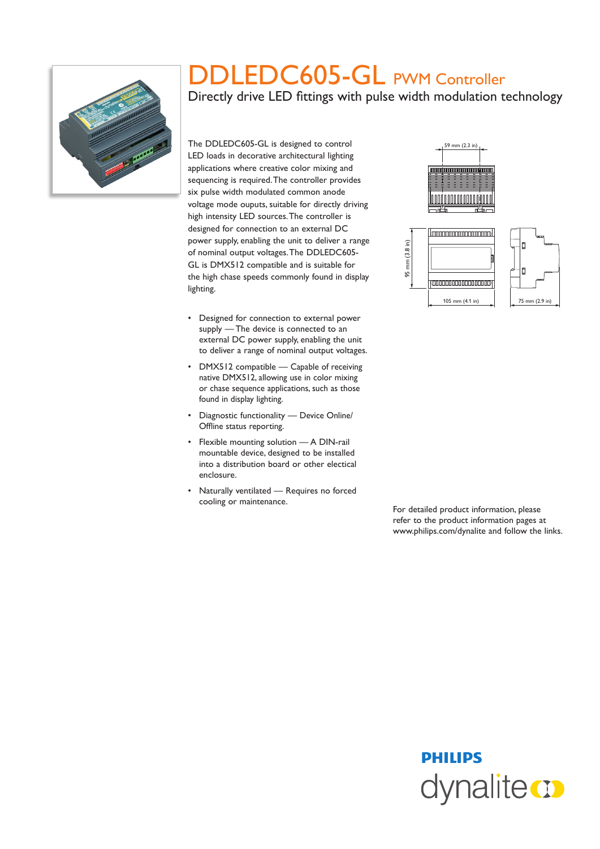

## DDLEDC605-GL PWM Controller

Directly drive LED fittings with pulse width modulation technology

The DDLEDC605-GL is designed to control LED loads in decorative architectural lighting applications where creative color mixing and sequencing is required. The controller provides six pulse width modulated common anode voltage mode ouputs, suitable for directly driving high intensity LED sources. The controller is designed for connection to an external DC power supply, enabling the unit to deliver a range of nominal output voltages. The DDLEDC605- GL is DMX512 compatible and is suitable for the high chase speeds commonly found in display lighting.

- Designed for connection to external power supply - The device is connected to an external DC power supply, enabling the unit to deliver a range of nominal output voltages.
- DMX512 compatible Capable of receiving native DMX512, allowing use in color mixing or chase sequence applications, such as those found in display lighting.
- Diagnostic functionality Device Online/ Offline status reporting.
- Flexible mounting solution A DIN-rail mountable device, designed to be installed into a distribution board or other electical enclosure.
- Naturally ventilated Requires no forced cooling or maintenance. For detailed product information, please





refer to the product information pages at www.philips.com/dynalite and follow the links.